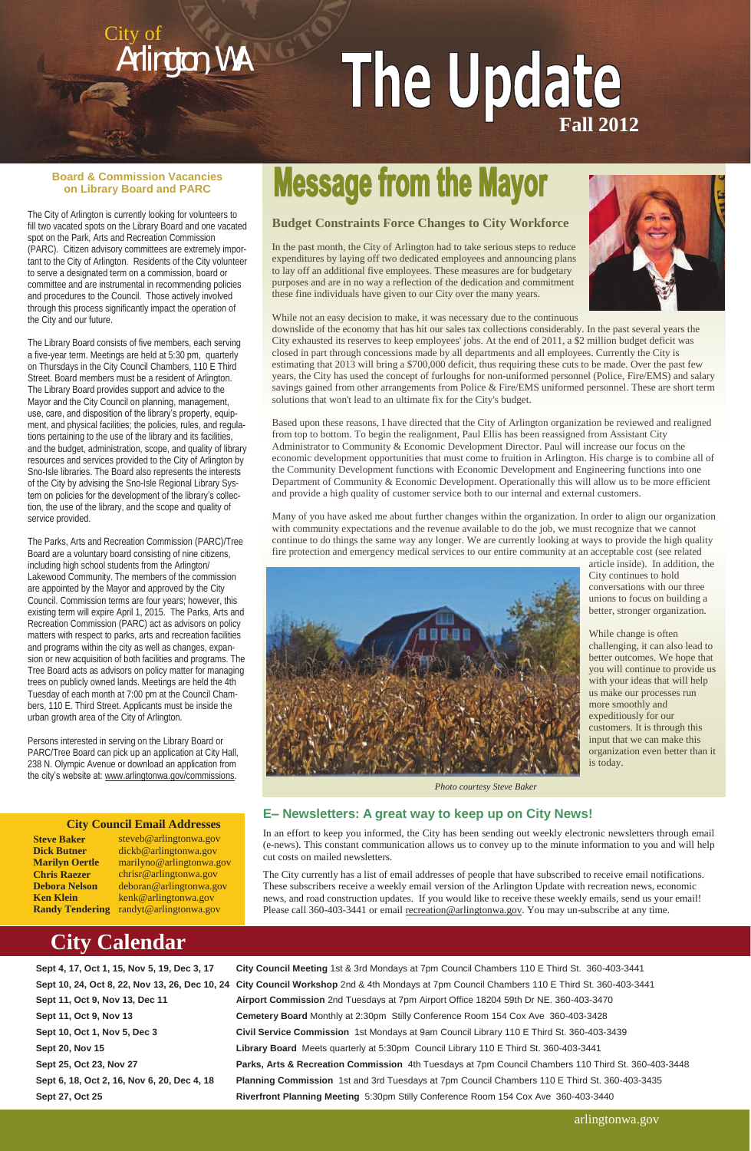## **Budget Constraints Force Changes to City Workforce**

In the past month, the City of Arlington had to take serious steps to reduce expenditures by laying off two dedicated employees and announcing plans to lay off an additional five employees. These measures are for budgetary purposes and are in no way a reflection of the dedication and commitment these fine individuals have given to our City over the many years.



While not an easy decision to make, it was necessary due to the continuous

downslide of the economy that has hit our sales tax collections considerably. In the past several years the City exhausted its reserves to keep employees' jobs. At the end of 2011, a \$2 million budget deficit was closed in part through concessions made by all departments and all employees. Currently the City is estimating that 2013 will bring a \$700,000 deficit, thus requiring these cuts to be made. Over the past few years, the City has used the concept of furloughs for non-uniformed personnel (Police, Fire/EMS) and salary savings gained from other arrangements from Police & Fire/EMS uniformed personnel. These are short term solutions that won't lead to an ultimate fix for the City's budget.

Based upon these reasons, I have directed that the City of Arlington organization be reviewed and realigned from top to bottom. To begin the realignment, Paul Ellis has been reassigned from Assistant City Administrator to Community & Economic Development Director. Paul will increase our focus on the economic development opportunities that must come to fruition in Arlington. His charge is to combine all of the Community Development functions with Economic Development and Engineering functions into one Department of Community & Economic Development. Operationally this will allow us to be more efficient and provide a high quality of customer service both to our internal and external customers.

Many of you have asked me about further changes within the organization. In order to align our organization with community expectations and the revenue available to do the job, we must recognize that we cannot continue to do things the same way any longer. We are currently looking at ways to provide the high quality fire protection and emergency medical services to our entire community at an acceptable cost (see related

The City currently has a list of email addresses of people that have subscribed to receive email notifications. These subscribers receive a weekly email version of the Arlington Update with recreation news, economic news, and road construction updates. If you would like to receive these weekly emails, send us your email! Please call 360-403-3441 or email [recreation@arlingtonwa.gov.](mailto:slopez@arlingtonwa.gov) You may un-subscribe at any time.

article inside). In addition, the

City continues to hold conversations with our three unions to focus on building a better, stronger organization.

While change is often

challenging, it can also lead to better outcomes. We hope that you will continue to provide us with your ideas that will help us make our processes run

more smoothly and expeditiously for our

customers. It is through this input that we can make this organization even better than it

is today.

 **City Council Email Addresses**

## **Message from the Mayor**

**Steve Baker Dick Butner Marilyn Oertle Chris Raezer Debora Nelson Ken Klein** 

arlingtonwa.gov

**Sept 4, 17, Oct 1, 15, Nov 5, 19, Dec 3, 17 City Council Meeting** 1st & 3rd Mondays at 7pm Council Chambers 110 E Third St. 360-403-3441 **Sept 10, 24, Oct 8, 22, Nov 13, 26, Dec 10, 24 City Council Workshop** 2nd & 4th Mondays at 7pm Council Chambers 110 E Third St. 360-403-3441 **Sept 11, Oct 9, Nov 13, Dec 11 Airport Commission** 2nd Tuesdays at 7pm Airport Office 18204 59th Dr NE. 360-403-3470 **Sept 11, Oct 9, Nov 13 Cemetery Board** Monthly at 2:30pm Stilly Conference Room 154 Cox Ave 360-403-3428 **Sept 10, Oct 1, Nov 5, Dec 3 Civil Service Commission** 1st Mondays at 9am Council Library 110 E Third St. 360-403-3439 **Sept 20, Nov 15 Library Board** Meets quarterly at 5:30pm Council Library 110 E Third St. 360-403-3441 **Sept 25, Oct 23, Nov 27 Parks, Arts & Recreation Commission** 4th Tuesdays at 7pm Council Chambers 110 Third St. 360-403-3448 **Sept 6, 18, Oct 2, 16, Nov 6, 20, Dec 4, 18 Planning Commission** 1st and 3rd Tuesdays at 7pm Council Chambers 110 E Third St. 360-403-3435 **Sept 27, Oct 25 Riverfront Planning Meeting** 5:30pm Stilly Conference Room 154 Cox Ave 360-403-3440

Persons interested in serving on the Library Board or PARC/Tree Board can pick up an application at City Hall, 238 N. Olympic Avenue or download an application from the city's website at: [www.arlingtonwa.gov/commissions.](http://www.arlingtonwa.gov/commissions)

**Randy Tendering**  randyt@arlingtonwa.gov steveb@arlingtonwa.gov dickb@arlingtonwa.gov marilyno@arlingtonwa.gov chrisr@arlingtonwa.gov deboran@arlingtonwa.gov kenk@arlingtonwa.gov

## **City Calendar**

City of

Arlington, WA

## **E– Newsletters: A great way to keep up on City News!**

In an effort to keep you informed, the City has been sending out weekly electronic newsletters through email (e-news). This constant communication allows us to convey up to the minute information to you and will help cut costs on mailed newsletters.



*Photo courtesy Steve Baker*

# The Update

#### **Board & Commission Vacancies on Library Board and PARC**

The City of Arlington is currently looking for volunteers to fill two vacated spots on the Library Board and one vacated spot on the Park, Arts and Recreation Commission (PARC). Citizen advisory committees are extremely important to the City of Arlington. Residents of the City volunteer to serve a designated term on a commission, board or committee and are instrumental in recommending policies and procedures to the Council. Those actively involved through this process significantly impact the operation of the City and our future.

The Library Board consists of five members, each serving a five-year term. Meetings are held at 5:30 pm, quarterly on Thursdays in the City Council Chambers, 110 E Third Street. Board members must be a resident of Arlington. The Library Board provides support and advice to the Mayor and the City Council on planning, management, use, care, and disposition of the library's property, equipment, and physical facilities; the policies, rules, and regulations pertaining to the use of the library and its facilities, and the budget, administration, scope, and quality of library resources and services provided to the City of Arlington by Sno-Isle libraries. The Board also represents the interests of the City by advising the Sno-Isle Regional Library System on policies for the development of the library's collection, the use of the library, and the scope and quality of service provided.

The Parks, Arts and Recreation Commission (PARC)/Tree Board are a voluntary board consisting of nine citizens, including high school students from the Arlington/ Lakewood Community. The members of the commission are appointed by the Mayor and approved by the City Council. Commission terms are four years; however, this existing term will expire April 1, 2015. The Parks, Arts and Recreation Commission (PARC) act as advisors on policy matters with respect to parks, arts and recreation facilities and programs within the city as well as changes, expansion or new acquisition of both facilities and programs. The Tree Board acts as advisors on policy matter for managing trees on publicly owned lands. Meetings are held the 4th Tuesday of each month at 7:00 pm at the Council Chambers, 110 E. Third Street. Applicants must be inside the urban growth area of the City of Arlington.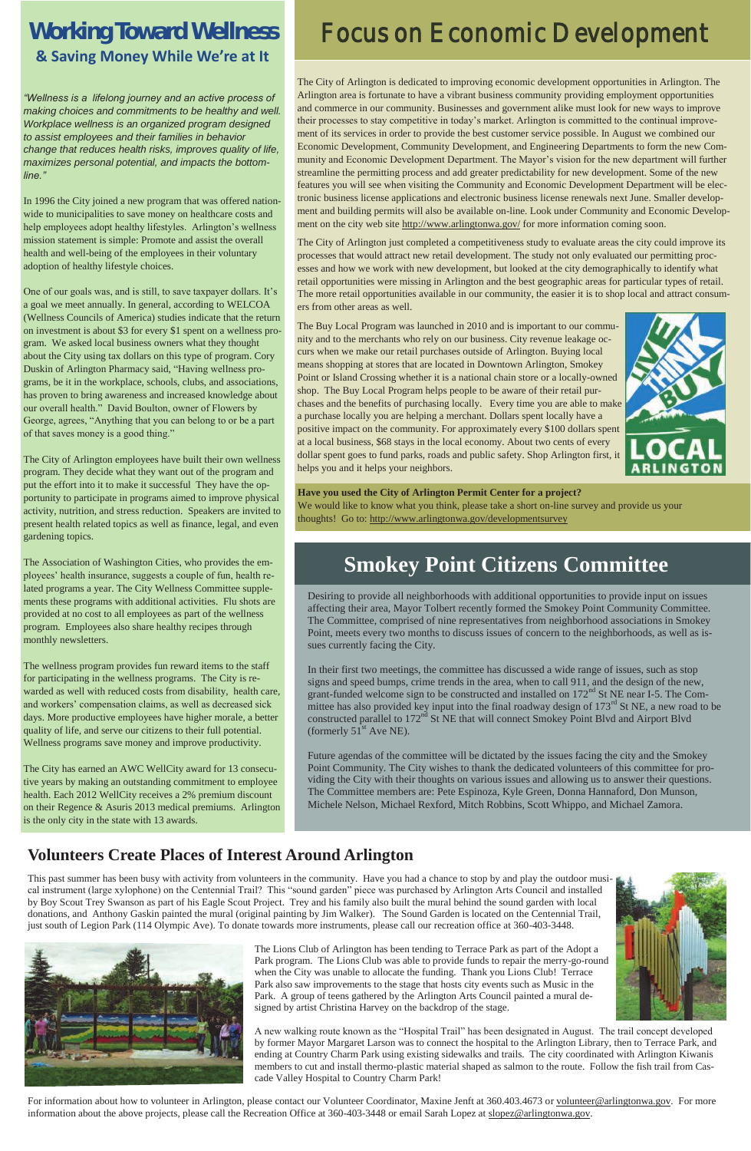## **Working Toward Wellness & Saving Money While We're at It**

*"Wellness is a lifelong journey and an active process of making choices and commitments to be healthy and well. Workplace wellness is an organized program designed to assist employees and their families in behavior change that reduces health risks, improves quality of life, maximizes personal potential, and impacts the bottomline."*

In 1996 the City joined a new program that was offered nationwide to municipalities to save money on healthcare costs and help employees adopt healthy lifestyles. Arlington's wellness mission statement is simple: Promote and assist the overall health and well-being of the employees in their voluntary adoption of healthy lifestyle choices.

One of our goals was, and is still, to save taxpayer dollars. It's a goal we meet annually. In general, according to WELCOA (Wellness Councils of America) studies indicate that the return on investment is about \$3 for every \$1 spent on a wellness program. We asked local business owners what they thought about the City using tax dollars on this type of program. Cory Duskin of Arlington Pharmacy said, "Having wellness programs, be it in the workplace, schools, clubs, and associations, has proven to bring awareness and increased knowledge about our overall health." David Boulton, owner of Flowers by George, agrees, "Anything that you can belong to or be a part of that saves money is a good thing."

The City of Arlington is dedicated to improving economic development opportunities in Arlington. The Arlington area is fortunate to have a vibrant business community providing employment opportunities and commerce in our community. Businesses and government alike must look for new ways to improve their processes to stay competitive in today's market. Arlington is committed to the continual improvement of its services in order to provide the best customer service possible. In August we combined our Economic Development, Community Development, and Engineering Departments to form the new Community and Economic Development Department. The Mayor's vision for the new department will further streamline the permitting process and add greater predictability for new development. Some of the new features you will see when visiting the Community and Economic Development Department will be electronic business license applications and electronic business license renewals next June. Smaller development and building permits will also be available on-line. Look under Community and Economic Development on the city web site http://www.arlingtonwa.gov/ for more information coming soon.

The City of Arlington employees have built their own wellness program. They decide what they want out of the program and put the effort into it to make it successful They have the opportunity to participate in programs aimed to improve physical activity, nutrition, and stress reduction. Speakers are invited to present health related topics as well as finance, legal, and even gardening topics.

The Association of Washington Cities, who provides the employees' health insurance, suggests a couple of fun, health related programs a year. The City Wellness Committee supplements these programs with additional activities. Flu shots are provided at no cost to all employees as part of the wellness program. Employees also share healthy recipes through monthly newsletters.

The wellness program provides fun reward items to the staff for participating in the wellness programs. The City is rewarded as well with reduced costs from disability, health care, and workers' compensation claims, as well as decreased sick days. More productive employees have higher morale, a better quality of life, and serve our citizens to their full potential. Wellness programs save money and improve productivity.

The City has earned an AWC WellCity award for 13 consecutive years by making an outstanding commitment to employee health. Each 2012 WellCity receives a 2% premium discount on their Regence & Asuris 2013 medical premiums. Arlington is the only city in the state with 13 awards.

In their first two meetings, the committee has discussed a wide range of issues, such as stop signs and speed bumps, crime trends in the area, when to call 911, and the design of the new, grant-funded welcome sign to be constructed and installed on  $172<sup>nd</sup>$  St NE near I-5. The Committee has also provided key input into the final roadway design of 173<sup>rd</sup> St NE, a new road to be constructed parallel to 172<sup>nd</sup> St NE that will connect Smokey Point Blvd and Airport Blvd (formerly  $51<sup>st</sup>$  Ave NE).

The City of Arlington just completed a competitiveness study to evaluate areas the city could improve its processes that would attract new retail development. The study not only evaluated our permitting processes and how we work with new development, but looked at the city demographically to identify what retail opportunities were missing in Arlington and the best geographic areas for particular types of retail. The more retail opportunities available in our community, the easier it is to shop local and attract consumers from other areas as well.

## **Focus on Economic Development**

The Buy Local Program was launched in 2010 and is important to our community and to the merchants who rely on our business. City revenue leakage occurs when we make our retail purchases outside of Arlington. Buying local means shopping at stores that are located in Downtown Arlington, Smokey Point or Island Crossing whether it is a national chain store or a locally-owned shop. The Buy Local Program helps people to be aware of their retail purchases and the benefits of purchasing locally. Every time you are able to make a purchase locally you are helping a merchant. Dollars spent locally have a positive impact on the community. For approximately every \$100 dollars spent at a local business, \$68 stays in the local economy. About two cents of every dollar spent goes to fund parks, roads and public safety. Shop Arlington first, it helps you and it helps your neighbors.



**Have you used the City of Arlington Permit Center for a project?**  We would like to know what you think, please take a short on-line survey and provide us your thoughts! Go to: http:/[/www.arlingtonwa.gov/developmentsurvey](http://www.arlingtonwa.gov/developmentsurvey)

## **Smokey Point Citizens Committee**

Desiring to provide all neighborhoods with additional opportunities to provide input on issues affecting their area, Mayor Tolbert recently formed the Smokey Point Community Committee. The Committee, comprised of nine representatives from neighborhood associations in Smokey Point, meets every two months to discuss issues of concern to the neighborhoods, as well as issues currently facing the City.

Future agendas of the committee will be dictated by the issues facing the city and the Smokey Point Community. The City wishes to thank the dedicated volunteers of this committee for providing the City with their thoughts on various issues and allowing us to answer their questions. The Committee members are: Pete Espinoza, Kyle Green, Donna Hannaford, Don Munson, Michele Nelson, Michael Rexford, Mitch Robbins, Scott Whippo, and Michael Zamora.

## **Volunteers Create Places of Interest Around Arlington**

This past summer has been busy with activity from volunteers in the community. Have you had a chance to stop by and play the outdoor musical instrument (large xylophone) on the Centennial Trail? This "sound garden" piece was purchased by Arlington Arts Council and installed by Boy Scout Trey Swanson as part of his Eagle Scout Project. Trey and his family also built the mural behind the sound garden with local donations, and Anthony Gaskin painted the mural (original painting by Jim Walker). The Sound Garden is located on the Centennial Trail, just south of Legion Park (114 Olympic Ave). To donate towards more instruments, please call our recreation office at 360-403-3448.



The Lions Club of Arlington has been tending to Terrace Park as part of the Adopt a Park program. The Lions Club was able to provide funds to repair the merry-go-round when the City was unable to allocate the funding. Thank you Lions Club! Terrace Park also saw improvements to the stage that hosts city events such as Music in the Park. A group of teens gathered by the Arlington Arts Council painted a mural designed by artist Christina Harvey on the backdrop of the stage.

A new walking route known as the "Hospital Trail" has been designated in August. The trail concept developed by former Mayor Margaret Larson was to connect the hospital to the Arlington Library, then to Terrace Park, and ending at Country Charm Park using existing sidewalks and trails. The city coordinated with Arlington Kiwanis members to cut and install thermo-plastic material shaped as salmon to the route. Follow the fish trail from Cascade Valley Hospital to Country Charm Park!

For information about how to volunteer in Arlington, please contact our Volunteer Coordinator, Maxine Jenft at 360.403.4673 or [volunteer@arlingtonwa.gov.](mailto:volunteer@arlingtonwa.gov) For more information about the above projects, please call the Recreation Office at 360-403-3448 or email Sarah Lopez at slopez@arlingtonwa.gov.

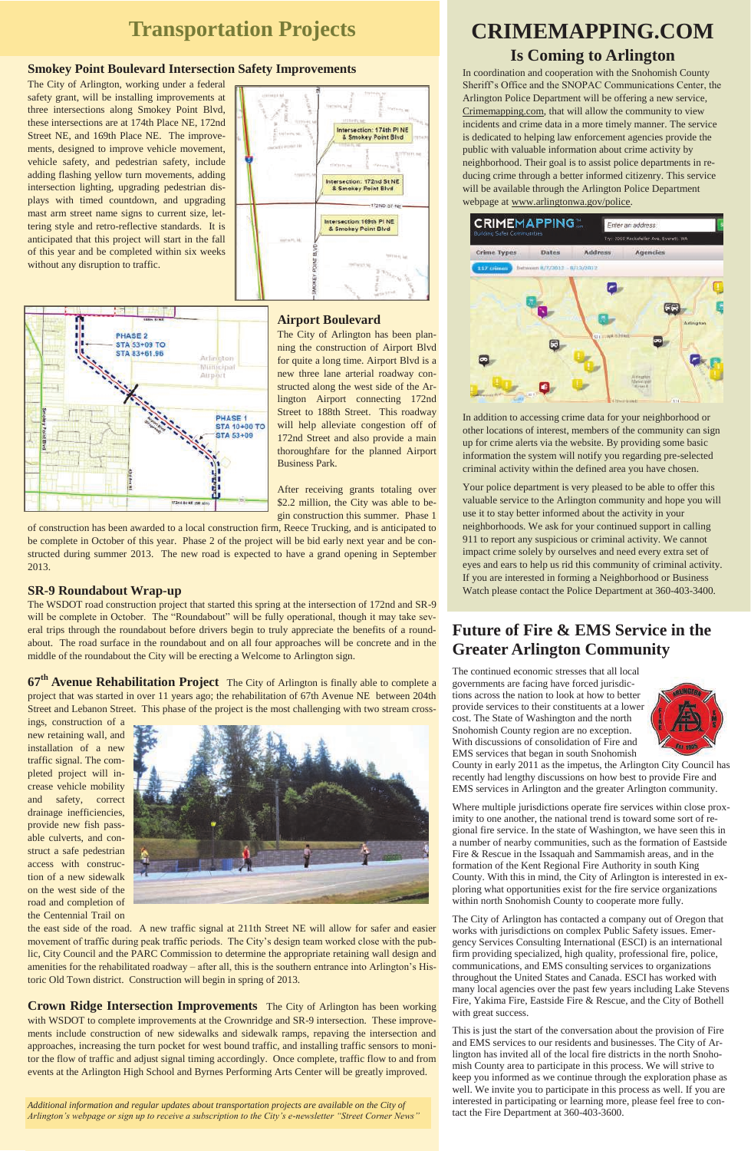#### **Smokey Point Boulevard Intersection Safety Improvements**

The City of Arlington, working under a federal safety grant, will be installing improvements at three intersections along Smokey Point Blvd, these intersections are at 174th Place NE, 172nd Street NE, and 169th Place NE. The improvements, designed to improve vehicle movement, vehicle safety, and pedestrian safety, include adding flashing yellow turn movements, adding intersection lighting, upgrading pedestrian displays with timed countdown, and upgrading mast arm street name signs to current size, lettering style and retro-reflective standards. It is anticipated that this project will start in the fall of this year and be completed within six weeks without any disruption to traffic.





#### **Airport Boulevard**

The City of Arlington has been planning the construction of Airport Blvd for quite a long time. Airport Blvd is a new three lane arterial roadway constructed along the west side of the Arlington Airport connecting 172nd Street to 188th Street. This roadway will help alleviate congestion off of 172nd Street and also provide a main thoroughfare for the planned Airport Business Park.

After receiving grants totaling over \$2.2 million, the City was able to begin construction this summer. Phase 1

of construction has been awarded to a local construction firm, Reece Trucking, and is anticipated to be complete in October of this year. Phase 2 of the project will be bid early next year and be constructed during summer 2013. The new road is expected to have a grand opening in September 2013.

#### **SR-9 Roundabout Wrap-up**

The WSDOT road construction project that started this spring at the intersection of 172nd and SR-9 will be complete in October. The "Roundabout" will be fully operational, though it may take several trips through the roundabout before drivers begin to truly appreciate the benefits of a roundabout. The road surface in the roundabout and on all four approaches will be concrete and in the middle of the roundabout the City will be erecting a Welcome to Arlington sign.

**67th Avenue Rehabilitation Project** The City of Arlington is finally able to complete a project that was started in over 11 years ago; the rehabilitation of 67th Avenue NE between 204th Street and Lebanon Street. This phase of the project is the most challenging with two stream cross-

ings, construction of a new retaining wall, and installation of a new traffic signal. The completed project will increase vehicle mobility and safety, correct drainage inefficiencies, provide new fish pass-



## **Transportation Projects CRIMEMAPPING.COM**

able culverts, and construct a safe pedestrian access with construction of a new sidewalk on the west side of the road and completion of the Centennial Trail on

the east side of the road. A new traffic signal at 211th Street NE will allow for safer and easier movement of traffic during peak traffic periods. The City's design team worked close with the public, City Council and the PARC Commission to determine the appropriate retaining wall design and amenities for the rehabilitated roadway – after all, this is the southern entrance into Arlington's Historic Old Town district. Construction will begin in spring of 2013.

**Crown Ridge Intersection Improvements** The City of Arlington has been working with WSDOT to complete improvements at the Crownridge and SR-9 intersection. These improvements include construction of new sidewalks and sidewalk ramps, repaving the intersection and approaches, increasing the turn pocket for west bound traffic, and installing traffic sensors to monitor the flow of traffic and adjust signal timing accordingly. Once complete, traffic flow to and from events at the Arlington High School and Byrnes Performing Arts Center will be greatly improved.

## **Is Coming to Arlington**

In coordination and cooperation with the Snohomish County Sheriff's Office and the SNOPAC Communications Center, the Arlington Police Department will be offering a new service, Crimemapping.com, that will allow the community to view incidents and crime data in a more timely manner. The service is dedicated to helping law enforcement agencies provide the public with valuable information about crime activity by neighborhood. Their goal is to assist police departments in reducing crime through a better informed citizenry. This service will be available through the Arlington Police Department webpage at www.arlingtonwa.gov/police.



In addition to accessing crime data for your neighborhood or other locations of interest, members of the community can sign up for crime alerts via the website. By providing some basic information the system will notify you regarding pre-selected criminal activity within the defined area you have chosen.

Your police department is very pleased to be able to offer this valuable service to the Arlington community and hope you will use it to stay better informed about the activity in your neighborhoods. We ask for your continued support in calling 911 to report any suspicious or criminal activity. We cannot impact crime solely by ourselves and need every extra set of eyes and ears to help us rid this community of criminal activity. If you are interested in forming a Neighborhood or Business Watch please contact the Police Department at 360-403-3400.

*Additional information and regular updates about transportation projects are available on the City of Arlington's webpage or sign up to receive a subscription to the City's e-newsletter "Street Corner News"*

## **Future of Fire & EMS Service in the Greater Arlington Community**

The continued economic stresses that all local governments are facing have forced jurisdictions across the nation to look at how to better provide services to their constituents at a lower cost. The State of Washington and the north Snohomish County region are no exception. With discussions of consolidation of Fire and EMS services that began in south Snohomish



County in early 2011 as the impetus, the Arlington City Council has recently had lengthy discussions on how best to provide Fire and EMS services in Arlington and the greater Arlington community.

Where multiple jurisdictions operate fire services within close proximity to one another, the national trend is toward some sort of regional fire service. In the state of Washington, we have seen this in a number of nearby communities, such as the formation of Eastside Fire & Rescue in the Issaquah and Sammamish areas, and in the formation of the Kent Regional Fire Authority in south King County. With this in mind, the City of Arlington is interested in exploring what opportunities exist for the fire service organizations within north Snohomish County to cooperate more fully.

The City of Arlington has contacted a company out of Oregon that works with jurisdictions on complex Public Safety issues. Emergency Services Consulting International (ESCI) is an international firm providing specialized, high quality, professional fire, police, communications, and EMS consulting services to organizations throughout the United States and Canada. ESCI has worked with many local agencies over the past few years including Lake Stevens Fire, Yakima Fire, Eastside Fire & Rescue, and the City of Bothell with great success.

This is just the start of the conversation about the provision of Fire and EMS services to our residents and businesses. The City of Arlington has invited all of the local fire districts in the north Snohomish County area to participate in this process. We will strive to keep you informed as we continue through the exploration phase as well. We invite you to participate in this process as well. If you are interested in participating or learning more, please feel free to contact the Fire Department at 360-403-3600.